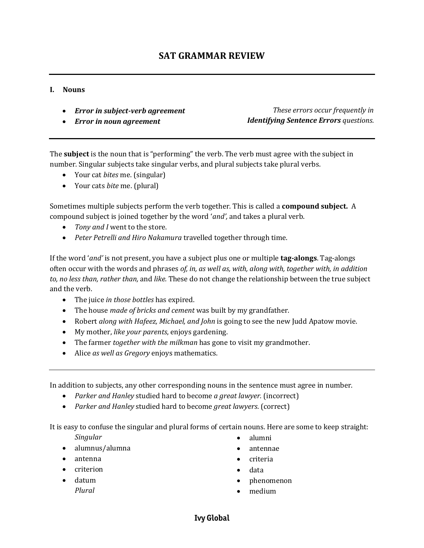## **I. Nouns**

- *Error in subject-verb agreement*
- *Error in noun agreement*

*These errors occur frequently in Identifying Sentence Errors questions.*

The **subject** is the noun that is "performing" the verb. The verb must agree with the subject in number. Singular subjects take singular verbs, and plural subjects take plural verbs.

- Your cat *bites* me. (singular)
- Your cats *bite* me. (plural)

Sometimes multiple subjects perform the verb together. This is called a **compound subject.** A compound subject is joined together by the word '*and',* and takes a plural verb.

- *Tony and I* went to the store.
- *Peter Petrelli and Hiro Nakamura* travelled together through time.

If the word '*and'* is not present, you have a subject plus one or multiple **tag-alongs**. Tag-alongs often occur with the words and phrases *of, in, as well as, with, along with, together with, in addition to, no less than, rather than,* and *like.* These do not change the relationship between the true subject and the verb.

- The juice *in those bottles* has expired.
- The house *made of bricks and cement* was built by my grandfather.
- Robert *along with Hafeez, Michael, and John* is going to see the new Judd Apatow movie.
- My mother, *like your parents*, enjoys gardening.
- The farmer *together with the milkman* has gone to visit my grandmother.
- Alice *as well as Gregory* enjoys mathematics.

In addition to subjects, any other corresponding nouns in the sentence must agree in number.

- *Parker and Hanley* studied hard to become *a great lawyer.* (incorrect)
- *Parker and Hanley* studied hard to become *great lawyers*. (correct)

It is easy to confuse the singular and plural forms of certain nouns. Here are some to keep straight:

*Singular*

- alumnus/alumna
- antenna
- criterion
- datum *Plural*
- alumni
- antennae
- criteria
- data
- phenomenon
- medium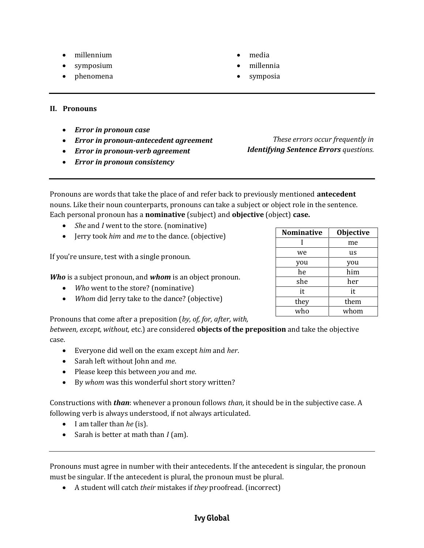- millennium
- symposium
- phenomena
- media
- millennia
- symposia

- **II. Pronouns**
	- *Error in pronoun case*
	- *Error in pronoun-antecedent agreement*
	- *Error in pronoun-verb agreement*
	- *Error in pronoun consistency*

Pronouns are words that take the place of and refer back to previously mentioned **antecedent** nouns. Like their noun counterparts, pronouns can take a subject or object role in the sentence. Each personal pronoun has a **nominative** (subject) and **objective** (object) **case.**

- *She* and *I* went to the store. (nominative)
- Jerry took *him* and *me* to the dance. (objective)

If you're unsure, test with a single pronoun.

*Who* is a subject pronoun, and *whom* is an object pronoun.

- *Who* went to the store? (nominative)
- *Whom* did Jerry take to the dance? (objective)

# Pronouns that come after a preposition (*by, of, for, after, with,*

*between, except, without,* etc.) are considered **objects of the preposition** and take the objective case.

- Everyone did well on the exam except *him* and *her*.
- Sarah left without John and *me*.
- Please keep this between *you* and *me*.
- By *whom* was this wonderful short story written?

Constructions with *than*: whenever a pronoun follows *than,* it should be in the subjective case. A following verb is always understood, if not always articulated.

- I am taller than *he* (is).
- Sarah is better at math than *I* (am).

Pronouns must agree in number with their antecedents. If the antecedent is singular, the pronoun must be singular. If the antecedent is plural, the pronoun must be plural.

A student will catch *their* mistakes if *they* proofread. (incorrect)

| <b>Nominative</b> | <b>Objective</b> |
|-------------------|------------------|
|                   | me               |
| we                | us               |
| you               | you              |
| he                | him              |
| she               | her              |
| it                | it               |
| they              | them             |
| who               | whom             |

*These errors occur frequently in* 

*Identifying Sentence Errors questions.*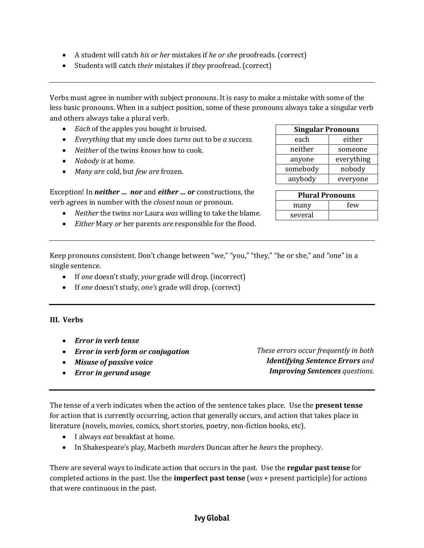- A student will catch *his or her* mistakes if *he or she* proofreads. (correct)
- Students will catch *their* mistakes if *they* proofread. (correct)

Verbs must agree in number with subject pronouns. It is easy to make a mistake with some of the less basic pronouns. When in a subject position, some of these pronouns always take a singular verb and others always take a plural verb.

- *Each* of the apples you bought *is* bruised.
- *Everything* that my uncle does *turns* out to be *a success.*
- *Neither* of the twins *knows* how to cook.
- *Nobody is* at home.
- *Many are* cold, but *few are* frozen.

Exception! In *neither … nor* and *either … or* constructions, the verb agrees in number with the *closest* noun or pronoun.

- *Neither* the twins *nor* Laura *was* willing to take the blame.
- *Either* Mary *or* her parents *are* responsible for the flood.

| <b>Singular Pronouns</b> |            |  |
|--------------------------|------------|--|
| each                     | either     |  |
| neither                  | someone    |  |
| anyone                   | everything |  |
| somebody                 | nobody     |  |
| anybody                  | everyone   |  |

| <b>Plural Pronouns</b> |     |  |
|------------------------|-----|--|
| many                   | few |  |
| several                |     |  |

Keep pronouns consistent. Don't change between "we," "you," "they," "he or she," and "one" in a single sentence.

- If *one* doesn't study, *your* grade will drop. (incorrect)
- If *one* doesn't study, *one's* grade will drop. (correct)

### **III. Verbs**

- *Error in verb tense*
- *Error in verb form or conjugation*
- *Misuse of passive voice*
- *Error in gerund usage*

*These errors occur frequently in both Identifying Sentence Errors and Improving Sentences questions.*

The tense of a verb indicates when the action of the sentence takes place. Use the **present tense**  for action that is currently occurring, action that generally occurs, and action that takes place in literature (novels, movies, comics, short stories, poetry, non-fiction books, etc).

- I always *eat* breakfast at home.
- In Shakespeare's play, Macbeth *murders* Duncan after he *hears* the prophecy.

There are several ways to indicate action that occurs in the past. Use the **regular past tense** for completed actions in the past. Use the **imperfect past tense** (*was* + present participle) for actions that were continuous in the past.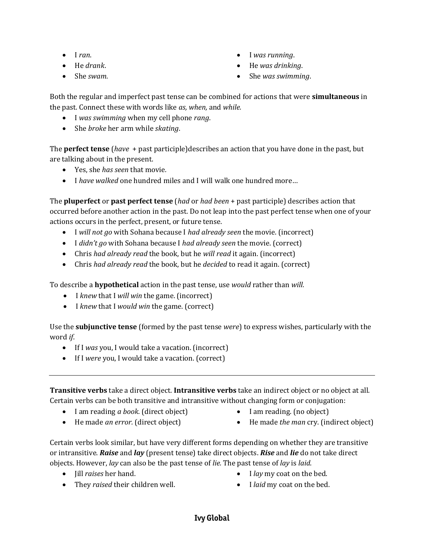- $\bullet$  I *ran*.
- He *drank*.
- She *swam*.
- I *was running*.
- He *was drinking*.
- She *was swimming*.

Both the regular and imperfect past tense can be combined for actions that were **simultaneous** in the past. Connect these with words like *as, when,* and *while.*

- I *was swimming* when my cell phone *rang*.
- She *broke* her arm while *skating*.

The **perfect tense** (*have* + past participle)describes an action that you have done in the past, but are talking about in the present.

- Yes, she *has seen* that movie*.*
- I *have walked* one hundred miles and I will walk one hundred more…

The **pluperfect** or **past perfect tense** (*had* or *had been* + past participle) describes action that occurred before another action in the past. Do not leap into the past perfect tense when one of your actions occurs in the perfect, present, or future tense.

- I *will not go* with Sohana because I *had already seen* the movie. (incorrect)
- I *didn't go* with Sohana because I *had already seen* the movie. (correct)
- Chris *had already read* the book, but he *will read* it again. (incorrect)
- Chris *had already read* the book, but he *decided* to read it again. (correct)

To describe a **hypothetical** action in the past tense, use *would* rather than *will.*

- I *knew* that I *will win* the game. (incorrect)
- I *knew* that I *would win* the game. (correct)

Use the **subjunctive tense** (formed by the past tense *were*) to express wishes, particularly with the word *if*.

- If I *was* you, I would take a vacation. (incorrect)
- If I *were* you, I would take a vacation. (correct)

**Transitive verbs** take a direct object. **Intransitive verbs** take an indirect object or no object at all. Certain verbs can be both transitive and intransitive without changing form or conjugation:

- I am reading *a book*. (direct object) He made *an error.* (direct object)
- I am reading. (no object)
- He made *the man* cry. (indirect object)

Certain verbs look similar, but have very different forms depending on whether they are transitive or intransitive. *Raise* and *lay* (present tense) take direct objects. *Rise* and *lie* do not take direct objects. However, *lay* can also be the past tense of *lie.* The past tense of *lay* is *laid*.

 $\bullet$  *Jill raises* her hand.

- I *lay* my coat on the bed.
- They *raised* their children well.
- I *laid* my coat on the bed.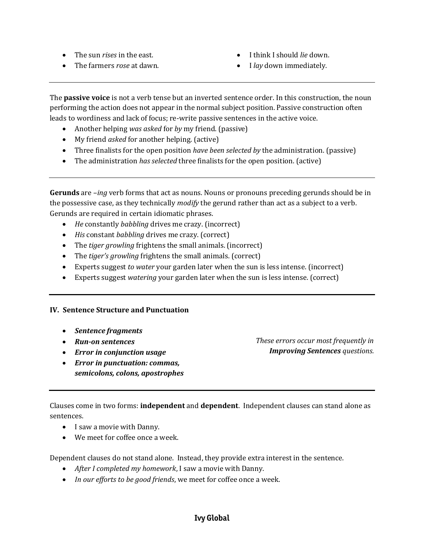- The sun *rises* in the east.
- The farmers *rose* at dawn.
- I think I should *lie* down.
- I *lay* down immediately.

The **passive voice** is not a verb tense but an inverted sentence order. In this construction, the noun performing the action does not appear in the normal subject position. Passive construction often leads to wordiness and lack of focus; re-write passive sentences in the active voice.

- Another helping *was asked* for *by* my friend. (passive)
- My friend *asked* for another helping. (active)
- Three finalists for the open position *have been selected by* the administration. (passive)
- The administration *has selected* three finalists for the open position. (active)

**Gerunds** are *–ing* verb forms that act as nouns. Nouns or pronouns preceding gerunds should be in the possessive case, as they technically *modify* the gerund rather than act as a subject to a verb. Gerunds are required in certain idiomatic phrases.

- *He* constantly *babbling* drives me crazy. (incorrect)
- *His* constant *babbling* drives me crazy. (correct)
- The *tiger growling* frightens the small animals. (incorrect)
- The *tiger's growling* frightens the small animals. (correct)
- Experts suggest *to water* your garden later when the sun is less intense. (incorrect)
- Experts suggest *watering* your garden later when the sun is less intense. (correct)

# **IV. Sentence Structure and Punctuation**

- *Sentence fragments*
- *Run-on sentences*
- *Error in conjunction usage*
- *Error in punctuation: commas, semicolons, colons, apostrophes*

*These errors occur most frequently in Improving Sentences questions.*

Clauses come in two forms: **independent** and **dependent**. Independent clauses can stand alone as sentences.

- I saw a movie with Danny.
- We meet for coffee once a week.

Dependent clauses do not stand alone. Instead, they provide extra interest in the sentence.

- *After I completed my homework*, I saw a movie with Danny.
- *In our efforts to be good friends*, we meet for coffee once a week.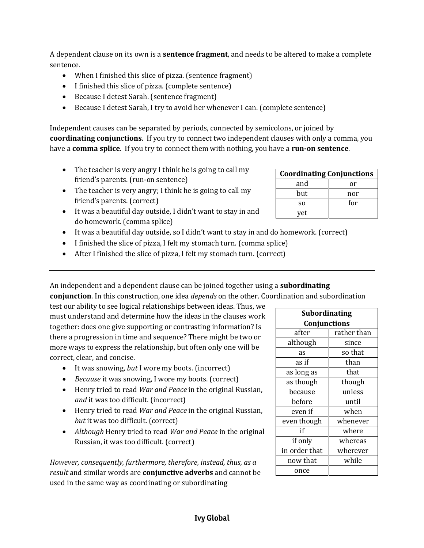A dependent clause on its own is a **sentence fragment**, and needs to be altered to make a complete sentence.

- When I finished this slice of pizza. (sentence fragment)
- I finished this slice of pizza. (complete sentence)
- Because I detest Sarah. (sentence fragment)
- Because I detest Sarah, I try to avoid her whenever I can. (complete sentence)

Independent causes can be separated by periods, connected by semicolons, or joined by **coordinating conjunctions**. If you try to connect two independent clauses with only a comma, you have a **comma splice**. If you try to connect them with nothing, you have a **run-on sentence**.

- The teacher is very angry I think he is going to call my friend's parents. (run-on sentence)
- The teacher is very angry; I think he is going to call my friend's parents. (correct)
- It was a beautiful day outside, I didn't want to stay in and do homework. (comma splice)
- It was a beautiful day outside, so I didn't want to stay in and do homework. (correct)
- I finished the slice of pizza, I felt my stomach turn. (comma splice)
- After I finished the slice of pizza, I felt my stomach turn. (correct)

An independent and a dependent clause can be joined together using a **subordinating conjunction**. In this construction, one idea *depends* on the other. Coordination and subordination

test our ability to see logical relationships between ideas. Thus, we must understand and determine how the ideas in the clauses work together: does one give supporting or contrasting information? Is there a progression in time and sequence? There might be two or more ways to express the relationship, but often only one will be correct, clear, and concise.

- It was snowing, *but* I wore my boots. (incorrect)
- *Because* it was snowing, I wore my boots. (correct)
- Henry tried to read *War and Peace* in the original Russian, *and* it was too difficult. (incorrect)
- Henry tried to read *War and Peace* in the original Russian, *but* it was too difficult. (correct)
- *Although* Henry tried to read *War and Peace* in the original Russian, it was too difficult. (correct)

*However, consequently, furthermore, therefore, instead, thus, as a result* and similar words are **conjunctive adverbs** and cannot be used in the same way as coordinating or subordinating

| <b>Subordinating</b> |             |  |
|----------------------|-------------|--|
| Conjunctions         |             |  |
| after                | rather than |  |
| although             | since       |  |
| as                   | so that     |  |
| as if                | than        |  |
| as long as           | that        |  |
| as though            | though      |  |
| because              | unless      |  |
| before               | until       |  |
| even if              | when        |  |
| even though          | whenever    |  |
| if                   | where       |  |
| if only              | whereas     |  |
| in order that        | wherever    |  |
| now that             | while       |  |
| once                 |             |  |

| <b>Coordinating Conjunctions</b> |     |  |
|----------------------------------|-----|--|
| and                              | or  |  |
| but                              | nor |  |
| S0                               | for |  |
| yet                              |     |  |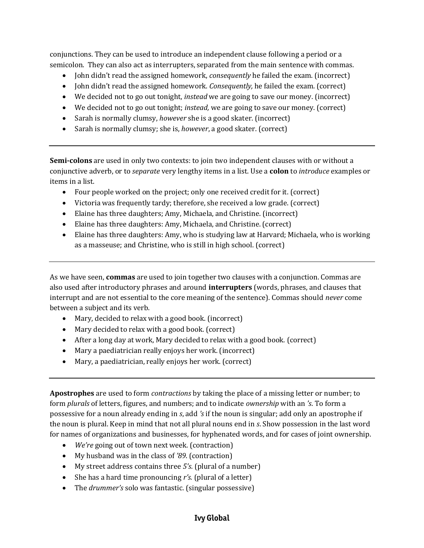conjunctions. They can be used to introduce an independent clause following a period or a semicolon. They can also act as interrupters, separated from the main sentence with commas.

- John didn't read the assigned homework, *consequently* he failed the exam. (incorrect)
- John didn't read the assigned homework. *Consequently,* he failed the exam. (correct)
- We decided not to go out tonight, *instead* we are going to save our money. (incorrect)
- We decided not to go out tonight; *instead,* we are going to save our money. (correct)
- Sarah is normally clumsy, *however* she is a good skater. (incorrect)
- Sarah is normally clumsy; she is, *however*, a good skater. (correct)

**Semi-colons** are used in only two contexts: to join two independent clauses with or without a conjunctive adverb, or to *separate* very lengthy items in a list. Use a **colon** to *introduce* examples or items in a list.

- Four people worked on the project; only one received credit for it. (correct)
- Victoria was frequently tardy; therefore, she received a low grade. (correct)
- Elaine has three daughters; Amy, Michaela, and Christine. (incorrect)
- Elaine has three daughters: Amy, Michaela, and Christine. (correct)
- Elaine has three daughters: Amy, who is studying law at Harvard; Michaela, who is working as a masseuse; and Christine, who is still in high school. (correct)

As we have seen, **commas** are used to join together two clauses with a conjunction. Commas are also used after introductory phrases and around **interrupters** (words, phrases, and clauses that interrupt and are not essential to the core meaning of the sentence). Commas should *never* come between a subject and its verb.

- Mary, decided to relax with a good book. (incorrect)
- Mary decided to relax with a good book. (correct)
- After a long day at work, Mary decided to relax with a good book. (correct)
- Mary a paediatrician really enjoys her work. (incorrect)
- Mary, a paediatrician, really enjoys her work. (correct)

**Apostrophes** are used to form *contractions* by taking the place of a missing letter or number; to form *plurals* of letters, figures, and numbers; and to indicate *ownership* with an *'s*. To form a possessive for a noun already ending in *s*, add *'s* if the noun is singular; add only an apostrophe if the noun is plural. Keep in mind that not all plural nouns end in *s*. Show possession in the last word for names of organizations and businesses, for hyphenated words, and for cases of joint ownership.

- *We're* going out of town next week. (contraction)
- My husband was in the class of *'89*. (contraction)
- My street address contains three *5's.* (plural of a number)
- She has a hard time pronouncing *r's.* (plural of a letter)
- The *drummer's* solo was fantastic. (singular possessive)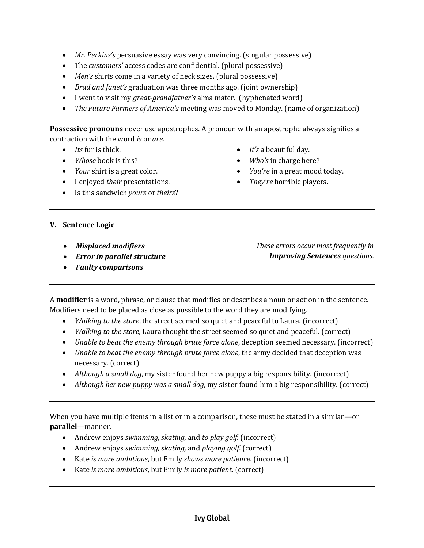- *Mr. Perkins's* persuasive essay was very convincing. (singular possessive)
- The *customers'* access codes are confidential. (plural possessive)
- *Men's* shirts come in a variety of neck sizes. (plural possessive)
- *Brad and Janet's* graduation was three months ago. (joint ownership)
- I went to visit my *great-grandfather's* alma mater. (hyphenated word)
- *The Future Farmers of America's* meeting was moved to Monday. (name of organization)

**Possessive pronouns** never use apostrophes. A pronoun with an apostrophe always signifies a contraction with the word *is* or *are*.

- *Its* fur is thick.
- *Whose* book is this?
- *Your* shirt is a great color.
- I enjoyed *their* presentations.
- Is this sandwich *yours* or *theirs*?
- *It's* a beautiful day.
- *Who's* in charge here?
- *You're* in a great mood today.
- *They're* horrible players.

## **V. Sentence Logic**

- *Misplaced modifiers*
- *Error in parallel structure*

*Faulty comparisons*

*These errors occur most frequently in Improving Sentences questions.*

- A **modifier** is a word, phrase, or clause that modifies or describes a noun or action in the sentence. Modifiers need to be placed as close as possible to the word they are modifying.
	- *Walking to the store*, the street seemed so quiet and peaceful to Laura. (incorrect)
	- *Walking to the store,* Laura thought the street seemed so quiet and peaceful. (correct)
	- *Unable to beat the enemy through brute force alone*, deception seemed necessary. (incorrect)
	- *Unable to beat the enemy through brute force alone*, the army decided that deception was necessary. (correct)
	- *Although a small dog*, my sister found her new puppy a big responsibility. (incorrect)
	- *Although her new puppy was a small dog*, my sister found him a big responsibility. (correct)

When you have multiple items in a list or in a comparison, these must be stated in a similar—or **parallel**—manner.

- Andrew enjoys *swimming, skating,* and *to play golf*. (incorrect)
- Andrew enjoys *swimming, skating,* and *playing golf*. (correct)
- Kate *is more ambitious*, but Emily *shows more patience*. (incorrect)
- Kate *is more ambitious*, but Emily *is more patient*. (correct)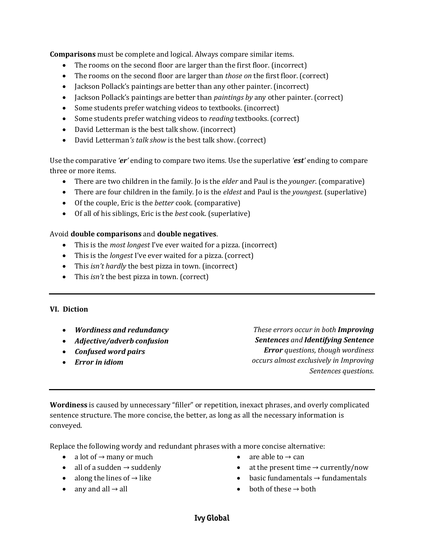**Comparisons** must be complete and logical. Always compare similar items.

- The rooms on the second floor are larger than the first floor. (incorrect)
- The rooms on the second floor are larger than *those on* the first floor. (correct)
- Jackson Pollack's paintings are better than any other painter. (incorrect)
- Jackson Pollack's paintings are better than *paintings by* any other painter. (correct)
- Some students prefer watching videos to textbooks. (incorrect)
- Some students prefer watching videos to *reading* textbooks. (correct)
- David Letterman is the best talk show. (incorrect)
- David Letterman*'s talk show* is the best talk show. (correct)

Use the comparative *'er'* ending to compare two items. Use the superlative *'est'* ending to compare three or more items.

- There are two children in the family. Jo is the *elder* and Paul is the *younger*. (comparative)
- There are four children in the family. Jo is the *eldest* and Paul is the *youngest*. (superlative)
- Of the couple, Eric is the *better* cook. (comparative)
- Of all of his siblings, Eric is the *best* cook. (superlative)

### Avoid **double comparisons** and **double negatives**.

- This is the *most longest* I've ever waited for a pizza. (incorrect)
- This is the *longest* I've ever waited for a pizza. (correct)
- This *isn't hardly* the best pizza in town. (incorrect)
- This *isn't* the best pizza in town. (correct)

#### **VI. Diction**

- *Wordiness and redundancy*
- *Adjective/adverb confusion*
- *Confused word pairs*
- *Error in idiom*

*These errors occur in both Improving Sentences and Identifying Sentence Error questions, though wordiness occurs almost exclusively in Improving Sentences questions.*

**Wordiness** is caused by unnecessary "filler" or repetition, inexact phrases, and overly complicated sentence structure. The more concise, the better, as long as all the necessary information is conveyed.

Replace the following wordy and redundant phrases with a more concise alternative:

- a lot of  $\rightarrow$  many or much
- all of a sudden  $\rightarrow$  suddenly
- along the lines of  $\rightarrow$  like
- any and all  $\rightarrow$  all
- are able to  $\rightarrow$  can
- at the present time  $\rightarrow$  currently/now
- basic fundamentals  $\rightarrow$  fundamentals
- both of these  $\rightarrow$  both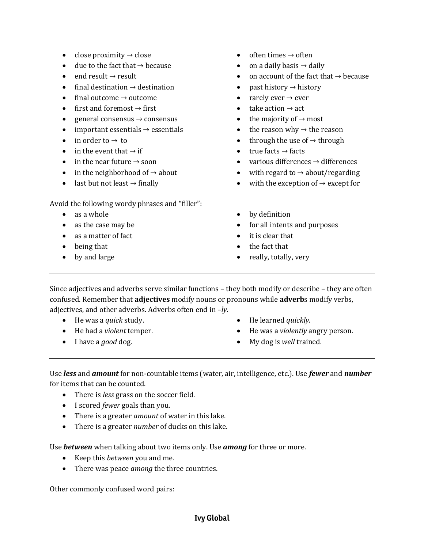- close proximity  $\rightarrow$  close
- $\bullet$  due to the fact that  $\rightarrow$  because
- $\bullet$  end result  $\rightarrow$  result
- $\bullet$  final destination  $\rightarrow$  destination
- $\bullet$  final outcome  $\rightarrow$  outcome
- $\bullet$  first and foremost  $\rightarrow$  first
- e general consensus  $\rightarrow$  consensus
- important essentials  $\rightarrow$  essentials
- $\bullet$  in order to  $\rightarrow$  to
- $\bullet$  in the event that  $\rightarrow$  if
- in the near future  $\rightarrow$  soon
- in the neighborhood of  $\rightarrow$  about
- last but not least  $\rightarrow$  finally

### Avoid the following wordy phrases and "filler":

- as a whole
- as the case may be
- as a matter of fact
- being that
- by and large
- often times  $\rightarrow$  often
- on a daily basis  $\rightarrow$  daily
- on account of the fact that  $\rightarrow$  because
- past history  $\rightarrow$  history
- rarely ever  $\rightarrow$  ever
- $\bullet$  take action  $\rightarrow$  act
- the majority of  $\rightarrow$  most
- the reason why  $\rightarrow$  the reason
- through the use of  $\rightarrow$  through
- $\bullet$  true facts  $\rightarrow$  facts
- various differences  $\rightarrow$  differences
- with regard to  $\rightarrow$  about/regarding
- with the exception of  $\rightarrow$  except for
- by definition
- for all intents and purposes
- it is clear that
- the fact that
- really, totally, very
- Since adjectives and adverbs serve similar functions they both modify or describe they are often confused. Remember that **adjectives** modify nouns or pronouns while **adverb**s modify verbs, adjectives, and other adverbs. Adverbs often end in *–ly*.
	- He was a *quick* study.
	- He had a *violent* temper.
	- I have a *good* dog.
- He learned *quickly*.
- He was a *violently* angry person.
- My dog is *well* trained*.*

Use *less* and *amount* for non-countable items (water, air, intelligence, etc.). Use *fewer* and *number*  for items that can be counted.

- There is *less* grass on the soccer field.
- I scored *fewer* goals than you.
- There is a greater *amount* of water in this lake.
- There is a greater *number* of ducks on this lake.

Use *between* when talking about two items only. Use *among* for three or more.

- Keep this *between* you and me.
- There was peace *among* the three countries.

Other commonly confused word pairs: